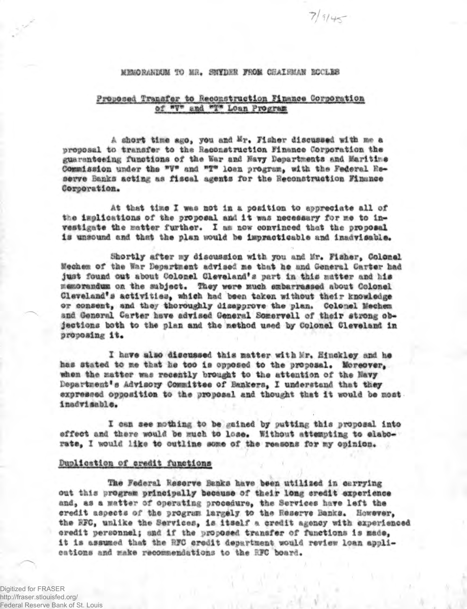### MEMORANDUM TO MR. SNYDER FROM CHAIRMAN BOCLES

 $7/9/45$ 

# Proposed Transfer to Reconstruction Finance Corporation of "V" and "T" Loan Program

A short time ago, you and Mr. Fisher discussed with me a proposal to transfer to the Reconstruction Finance Corporation the guaranteeing functions of the War and Navy Departments and Maritime Commission under the "V" and "T" loan program, with the Federal Reserve Banks acting as fiscal agents for the Reconstruction Finance Corporation.

At that time I was not in a position to appreciate all of the implications of the proposal and it was necessary for me to investigate the matter further. I am now convinced that the proposal is unsound and that the plan would be impracticable and inadvisable.

Shortly after my discussion with you and Mr. Fisher, Colonel Mechem of the War Department advised me that he and General Carter had just found out about Colonel Cleveland's part in this matter and his memorandum on the subject. They were much embarrassed about Colonel Cleveland's activities, which had been taken without their knowledge or consent, and they thoroughly disapprove the plan. Colonel Mechen and General Carter have advised General Somervell of their strong objections both to the plan and the method used by Colonel Cleveland in proposing it.

I have also discussed this matter with Mr. Hinckley and he has stated to me that he too is opposed to the proposal. Moreover, when the matter was recently brought to the attention of the Navy Department's Advisory Committee of Bankers, I understand that they expressed opposition to the proposal and thought that it would be most. inadvisable.

I can see nothing to be gained by putting this proposal into effect and there would be much to lose. Without attempting to elaborate, I would like to outline some of the reasons for my opinion.

#### Duplication of credit functions

The Federal Reserve Banks have been utilized in carrying out this program principally because of their long credit experience and, as a matter of operating procedure, the Services have left the credit aspects of the program largely to the Reserve Banks. However, the RFC, unlike the Services, is itself a credit agency with experienced credit personnel; and if the proposed transfer of functions is made, it is assumed that the RFC credit department would review loan applications and make recommendations to the RFC board.

Digitized for FRASER http://fraser.stlouisfed.org/ Federal Reserve Bank of St. Louis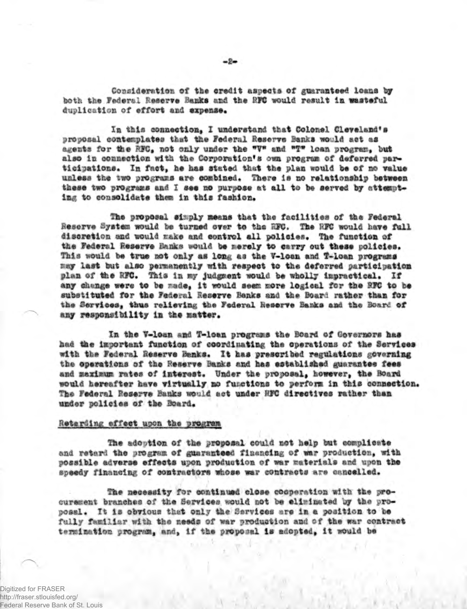Consideration of the credit aspects of guaranteed loans by hoth the Federal Reserve Banks and the RFC would result in wasteful duplication of effort and expense.

In this connection, I understand that Colonel Cleveland's proposal contemplates that the Federal Reserve Banks would act as agents for the RFC, not only under the "V" and "T" loan program. but also in connection with the Corporation's own program of deferred participations. In fact, he has stated that the plan would be of no value unless the two programs are combined. There is no relationship between these two programs and I see no purpose at all to be served by attempting to consolidate them in this fashion.

The proposal simply means that the facilities of the Federal Reserve System would be turned over to the RFC. The RFC would have full discretion and would make and control all policies. The function of the Federal Reserve Hanks would be merely to carry out these policies. This would be true not only as long as the V-loan and T-loan programs may last but also permanently with respect to the deferred participation plan of the RFC. This in my judgment would be wholly impractical. If any change were to be made, it would seem more logical for the RFC to be substituted for the Federal Reserve Banks and the Board rather than for the Services, thus relieving the Federal Reserve Banks and the Board of any responsibility in the matter.

In the V-loan and T-loan programs the Board of Governors has had the important function of coordinating the operations of the Services with the Federal Reserve Banks. It has prescribed regulations governing the operations of the Reserve Banks and has established guarantee fees and maximum rates of interest. Under the proposal, however, the Board would hereafter have virtually no functions to perform in this connection. The Federal Reserve Hanks would act under RFC directives rather than under policies of the Board.

### Retarding effect upon the program

The adoption of the proposal could not help but complicate and retard the program of guaranteed financing of war production, with possible adverse effects upon production of war materials and upon the speedy financing of contractors whose war contracts are cancelled.

The necessity for continued close cooperation with the procurement branches of the Services would not be eliminated by the proposal. It is obvious that only the Services are in a position to be fully familiar with the needs of war production and of the war contract termination program, and, if the proposal is adopted, it would be

Digitized for FRASER http://fraser.stlouisfed.org/ Federal Reserve Bank of St. Louis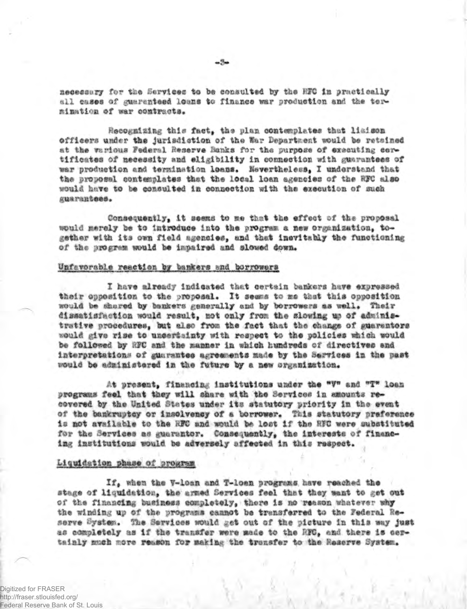necessary for the Services to be consulted by the HFC in practically all cases of guaranteed loans to finance war production and the termination of war contracts.

Recognizing this fact, the plan contemplates that liaison officers under the jurisdistion of the War Department would be retained at the various Federal Reserve Banks for the purpose of executing cortificates of necessity and eligibility in connection with guarantees of war production and termination loans. Nevertheless, I understand that the proposal contemplates that the local loan agencies of the RFC also would have to be consulted in connection with the execution of such guarantees.

Consequently, it seems to me that the effect of the proposal would merely be to introduce into the program a new organization, together with its own field agencies, and that inevitably the functioning of the progrem would be impaired and slowed down.

## Unfavorable reaction by bankers and borrowers

I have already indicated that certain bankers have expressed their opposition to the proposal. It seems to me that this opposition would be shared by bankers generally and by borrowers as well. Their dissatisfaction would result, not only from the slowing up of administrative procedures, but also from the fact that the change of guarantors would give rise to uncertainty with respect to the policies which would be followed by RFC and the manner in which hundreds of directives and interpretations of guarantes agreements made by the Services in the past would be administered in the future by a new organization.

At present, financing institutions under the "V" and "T" loan programs feel that they will share with the Services in amounts recovered by the United States under its statutory priority in the event of the bankruptcy or insolvency of a borrower. This statutory preference is not available to the RFC and would be lost if the RFC were substituted for the Services as guarantor. Consequently, the interests of financing institutions would be adversely affected in this respect.

#### Liquidation phase of program

If, when the V-loan and T-loan programs have reached the stage of liquidation, the armed Services feel that they want to get out of the financing business completely, there is no reason whatever why the winding up of the programs cannot be transferred to the Federal Reserve System. The Services would get out of the picture in this way just as completely as if the transfer were made to the RFC, and there is dertainly much more reason for making the trensfer to the Reserve System.

Digitized for FRASER http://fraser.stlouisfed.org/ Federal Reserve Bank of St. Louis